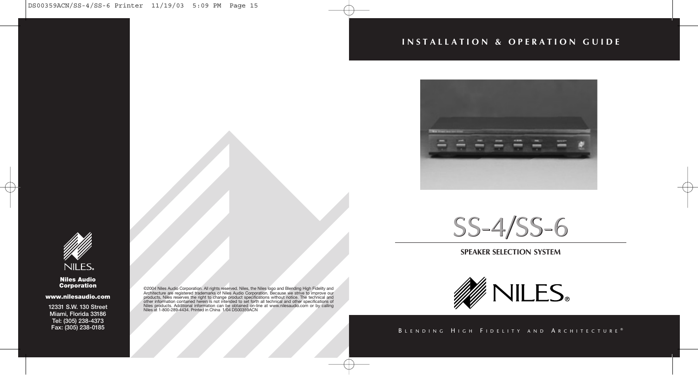#### **INSTALLATION & OPERATION GUIDE**





#### **SPEAKER SELECTION SYSTEM**



#### BLENDING HIGH FIDELITY AND ARCHITECTURE®



#### **Niles Audio Corporation**

**www.nilesaudio.com**

**12331 S.W. 130 Street Miami, Florida 33186 Tel: (305) 238-4373 Fax: (305) 238-0185**

©2004 Niles Audio Corporation. All rights reserved. Niles, the Niles logo and Blending High Fidelity and Architecture are registered trademarks of Niles Audio Corporation. Because we strive to improve our products, Niles reserves the right to change product specifications without notice. The technical and<br>other information contained herein is not intended to set forth all technical and other specifications of<br>Niles products Niles at 1-800-289-4434. Printed in China 1/04 DS00359ACN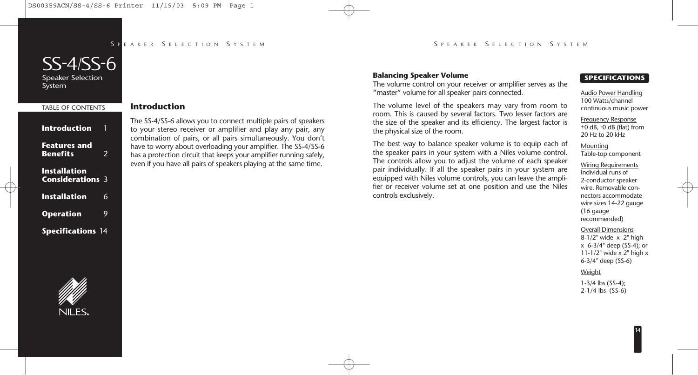#### SPFAKER SELECTION SYSTEM

#### S PEAKER S ELECTION S YSTEM

# SS-4/SS-6

Speaker Selection System

## TABLE OF CONTENTS **Introduction Features and Benefits** 2 **Installation Considerations** 3 **Installation** 6 **Operation** 9 **Specifications** 14

#### **Introduction**

The SS-4/SS-6 allows you to connect multiple pairs of speakers to your stereo receiver or amplifier and play any pair, any combination of pairs, or all pairs simultaneously. You don't have to worry about overloading your amplifier. The SS-4/SS-6 has a protection circuit that keeps your amplifier running safely, even if you have all pairs of speakers playing at the same time.

#### **Balancing Speaker Volume**

The volume control on your receiver or amplifier serves as the "master" volume for all speaker pairs connected.

The volume level of the speakers may vary from room to room. This is caused by several factors. Two lesser factors are the size of the speaker and its efficiency. The largest factor is the physical size of the room.

The best way to balance speaker volume is to equip each of the speaker pairs in your system with a Niles volume control. The controls allow you to adjust the volume of each speaker pair individually. If all the speaker pairs in your system are equipped with Niles volume controls, you can leave the amplifier or receiver volume set at one position and use the Niles controls exclusively.

#### **SPECIFICATIONS**

Audio Power Handling 100 Watts/channel continuous music power

Frequency Response +0 dB, -0 dB (flat) from 20 Hz to 20 kHz

Mounting Table-top component

Wiring Requirements Individual runs of 2-conductor speaker wire. Removable connectors accommodate wire sizes 14-22 gauge (16 gauge recommended)

Overall Dimensions

8-1/2" wide x 2" high x 6-3/4" deep (SS-4); or 11-1/2" wide x 2" high x 6-3/4" deep (SS-6)

#### Weight

1-3/4 lbs (SS-4); 2-1/4 lbs (SS-6)

# **NILES**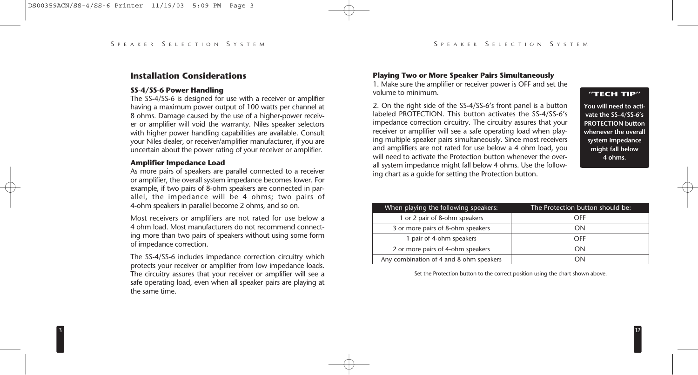#### **Installation Considerations**

#### **SS-4/SS-6 Power Handling**

The SS-4/SS-6 is designed for use with a receiver or amplifier having a maximum power output of 100 watts per channel at 8 ohms. Damage caused by the use of a higher-power receiver or amplifier will void the warranty. Niles speaker selectors with higher power handling capabilities are available. Consult your Niles dealer, or receiver/amplifier manufacturer, if you are uncertain about the power rating of your receiver or amplifier.

#### **Amplifier Impedance Load**

As more pairs of speakers are parallel connected to a receiver or amplifier, the overall system impedance becomes lower. For example, if two pairs of 8-ohm speakers are connected in parallel, the impedance will be 4 ohms; two pairs of 4-ohm speakers in parallel become 2 ohms, and so on.

Most receivers or amplifiers are not rated for use below a 4 ohm load. Most manufacturers do not recommend connecting more than two pairs of speakers without using some form of impedance correction.

The SS-4/SS-6 includes impedance correction circuitry which protects your receiver or amplifier from low impedance loads. The circuitry assures that your receiver or amplifier will see a safe operating load, even when all speaker pairs are playing at the same time.

#### **Playing Two or More Speaker Pairs Simultaneously**

1. Make sure the amplifier or receiver power is OFF and set the volume to minimum.

2. On the right side of the SS-4/SS-6's front panel is a button labeled PROTECTION. This button activates the SS-4/SS-6's impedance correction circuitry. The circuitry assures that your receiver or amplifier will see a safe operating load when playing multiple speaker pairs simultaneously. Since most receivers and amplifiers are not rated for use below a 4 ohm load, you will need to activate the Protection button whenever the overall system impedance might fall below 4 ohms. Use the following chart as a guide for setting the Protection button.

#### **"TECH TIP"**

**You will need to activate the SS-4/SS-6's PROTECTION button whenever the overall system impedance might fall below 4 ohms.**

12

| When playing the following speakers:    | The Protection button should be: |
|-----------------------------------------|----------------------------------|
| 1 or 2 pair of 8-ohm speakers           | OFF                              |
| 3 or more pairs of 8-ohm speakers       | ΩN                               |
| 1 pair of 4-ohm speakers                | OFF                              |
| 2 or more pairs of 4-ohm speakers       | ΩN                               |
| Any combination of 4 and 8 ohm speakers | 'N                               |

Set the Protection button to the correct position using the chart shown above.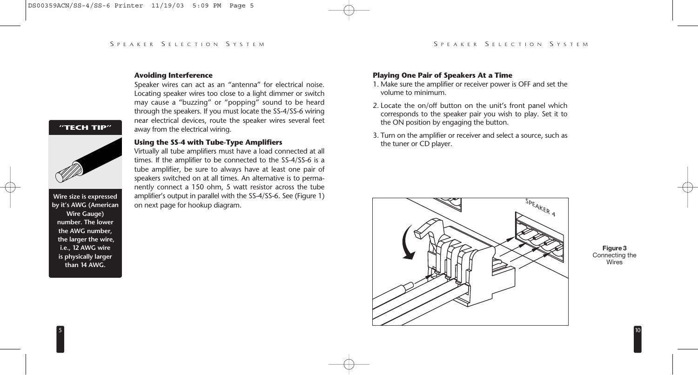#### **Avoiding Interference**

Speaker wires can act as an "antenna" for electrical noise. Locating speaker wires too close to a light dimmer or switch may cause a "buzzing" or "popping" sound to be heard through the speakers. If you must locate the SS-4/SS-6 wiring near electrical devices, route the speaker wires several feet away from the electrical wiring.

#### **"TECH TIP"**



**Wire size is expressed by it's AWG (American Wire Gauge) number. The lower the AWG number, the larger the wire, i.e., 12 AWG wire is physically larger than 14 AWG.**

#### **Using the SS-4 with Tube-Type Amplifiers**

Virtually all tube amplifiers must have a load connected at all times. If the amplifier to be connected to the SS-4/SS-6 is a tube amplifier, be sure to always have at least one pair of speakers switched on at all times. An alternative is to permanently connect a 150 ohm, 5 watt resistor across the tube amplifier's output in parallel with the SS-4/SS-6. See (Figure 1) on next page for hookup diagram.

#### **Playing One Pair of Speakers At a Time**

- 1. Make sure the amplifier or receiver power is OFF and set the volume to minimum.
- 2. Locate the on/off button on the unit's front panel which corresponds to the speaker pair you wish to play. Set it to the ON position by engaging the button.
- 3. Turn on the amplifier or receiver and select a source, such as the tuner or CD player.



**Figure 3** Connecting the **Wires**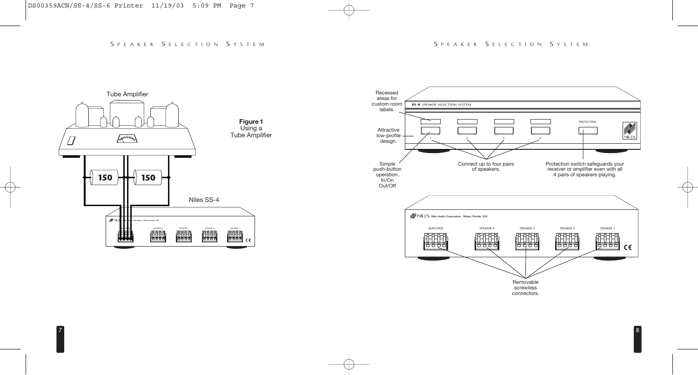

7

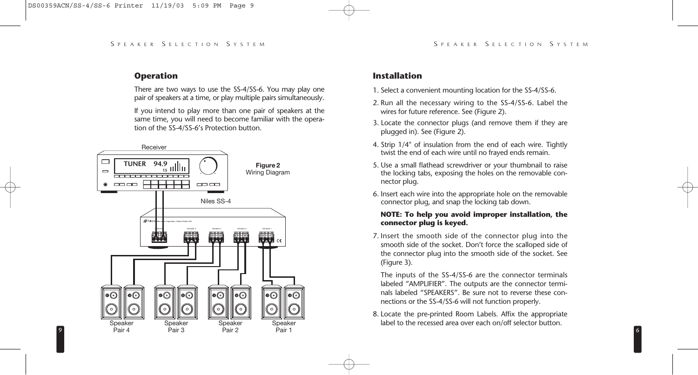#### **Operation**

9

There are two ways to use the SS-4/SS-6. You may play one pair of speakers at a time, or play multiple pairs simultaneously.

If you intend to play more than one pair of speakers at the same time, you will need to become familiar with the operation of the SS-4/SS-6's Protection button.



#### **Installation**

- 1. Select a convenient mounting location for the SS-4/SS-6.
- 2. Run all the necessary wiring to the SS-4/SS-6. Label the wires for future reference. See (Figure 2).
- 3. Locate the connector plugs (and remove them if they are plugged in). See (Figure 2).
- 4. Strip 1/4" of insulation from the end of each wire. Tightly twist the end of each wire until no frayed ends remain.
- 5. Use a small flathead screwdriver or your thumbnail to raise the locking tabs, exposing the holes on the removable connector plug.
- 6. Insert each wire into the appropriate hole on the removable connector plug, and snap the locking tab down.

#### **NOTE: To help you avoid improper installation, the connector plug is keyed.**

7. Insert the smooth side of the connector plug into the smooth side of the socket. Don't force the scalloped side of the connector plug into the smooth side of the socket. See (Figure 3).

The inputs of the SS-4/SS-6 are the connector terminals labeled "AMPLIFIER". The outputs are the connector terminals labeled "SPEAKERS". Be sure not to reverse these connections or the SS-4/SS-6 will not function properly.

8. Locate the pre-printed Room Labels. Affix the appropriate label to the recessed area over each on/off selector button.

6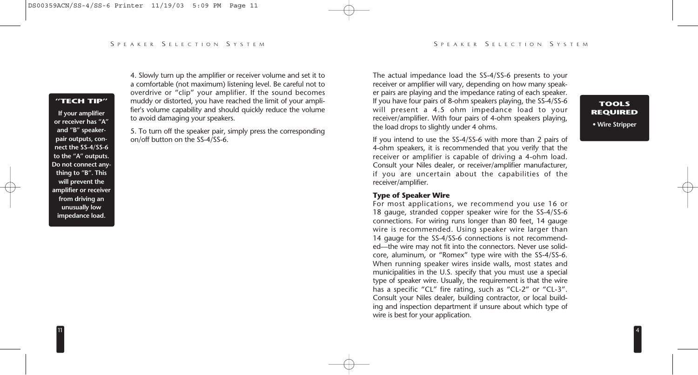4. Slowly turn up the amplifier or receiver volume and set it to a comfortable (not maximum) listening level. Be careful not to overdrive or "clip" your amplifier. If the sound becomes muddy or distorted, you have reached the limit of your amplifier's volume capability and should quickly reduce the volume to avoid damaging your speakers.

5. To turn off the speaker pair, simply press the corresponding on/off button on the SS-4/SS-6.

The actual impedance load the SS-4/SS-6 presents to your receiver or amplifier will vary, depending on how many speaker pairs are playing and the impedance rating of each speaker. If you have four pairs of 8-ohm speakers playing, the SS-4/SS-6 will present a 4.5 ohm impedance load to your receiver/amplifier. With four pairs of 4-ohm speakers playing, the load drops to slightly under 4 ohms.

**TOOLS REQUIRED • Wire Stripper**

4

If you intend to use the SS-4/SS-6 with more than 2 pairs of 4-ohm speakers, it is recommended that you verify that the receiver or amplifier is capable of driving a 4-ohm load. Consult your Niles dealer, or receiver/amplifier manufacturer, if you are uncertain about the capabilities of the receiver/amplifier.

#### **Type of Speaker Wire**

For most applications, we recommend you use 16 or 18 gauge, stranded copper speaker wire for the SS-4/SS-6 connections. For wiring runs longer than 80 feet, 14 gauge wire is recommended. Using speaker wire larger than 14 gauge for the SS-4/SS-6 connections is not recommended—the wire may not fit into the connectors. Never use solidcore, aluminum, or "Romex" type wire with the SS-4/SS-6. When running speaker wires inside walls, most states and municipalities in the U.S. specify that you must use a special type of speaker wire. Usually, the requirement is that the wire has a specific "CL" fire rating, such as "CL-2" or "CL-3". Consult your Niles dealer, building contractor, or local building and inspection department if unsure about which type of wire is best for your application.

### **"TECH TIP"**

**If your amplifier or receiver has "A" and "B" speakerpair outputs, connect the SS-4/SS-6 to the "A" outputs. Do not connect anything to "B". This will prevent the amplifier or receiver from driving an unusually low impedance load.**

11